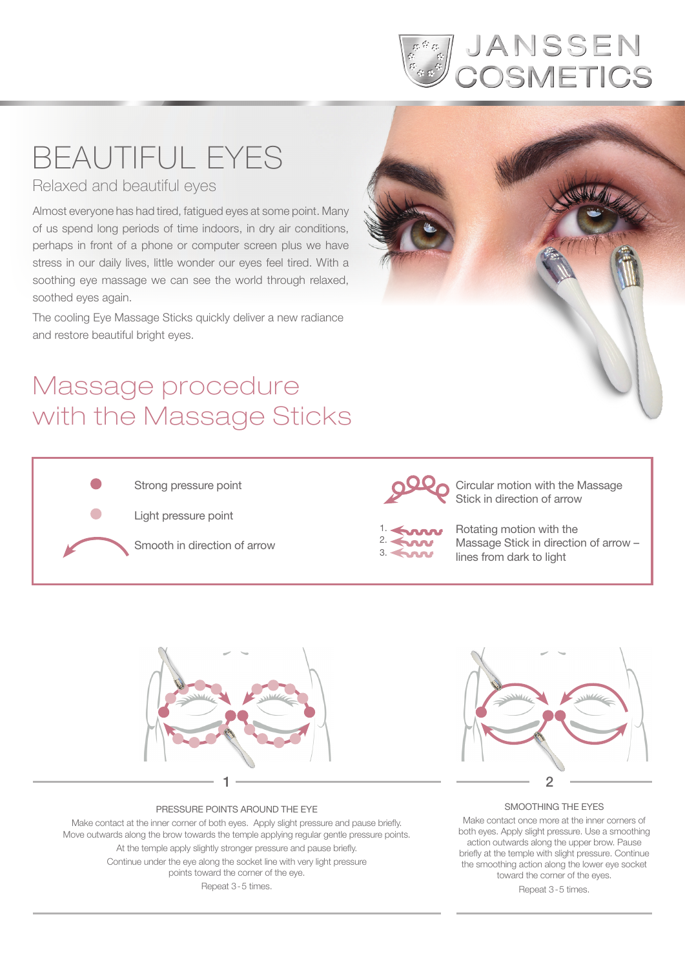

# BEAUTIFUL EYES

Relaxed and beautiful eyes

Almost everyone has had tired, fatigued eyes at some point. Many of us spend long periods of time indoors, in dry air conditions, perhaps in front of a phone or computer screen plus we have stress in our daily lives, little wonder our eyes feel tired. With a soothing eye massage we can see the world through relaxed, soothed eyes again.

The cooling Eye Massage Sticks quickly deliver a new radiance and restore beautiful bright eyes.

## Massage procedure with the Massage Sticks



Strong pressure point

Light pressure point

Smooth in direction of arrow



Circular motion with the Massage Stick in direction of arrow



Rotating motion with the Massage Stick in direction of arrow – lines from dark to light



### PRESSURE POINTS AROUND THE EYE

Make contact at the inner corner of both eyes. Apply slight pressure and pause briefly. Move outwards along the brow towards the temple applying regular gentle pressure points. At the temple apply slightly stronger pressure and pause briefly. Continue under the eye along the socket line with very light pressure points toward the corner of the eye. Repeat 3-5 times.



### SMOOTHING THE EYES

Make contact once more at the inner corners of both eyes. Apply slight pressure. Use a smoothing action outwards along the upper brow. Pause briefly at the temple with slight pressure. Continue the smoothing action along the lower eye socket toward the corner of the eyes. Repeat 3-5 times.